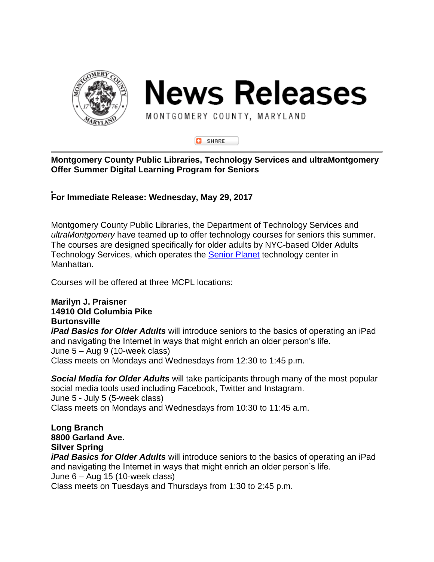

**News Releases** 

MONTGOMERY COUNTY, MARYLAND



## **Montgomery County Public Libraries, Technology Services and ultraMontgomery Offer Summer Digital Learning Program for Seniors**

**For Immediate Release: Wednesday, May 29, 2017**

Montgomery County Public Libraries, the Department of Technology Services and *ultraMontgomery* have teamed up to offer technology courses for seniors this summer. The courses are designed specifically for older adults by NYC-based Older Adults Technology Services, which operates the [Senior Planet](https://seniorplanet.org/) technology center in Manhattan.

Courses will be offered at three MCPL locations:

## **Marilyn J. Praisner 14910 Old Columbia Pike Burtonsville**

*iPad Basics for Older Adults* will introduce seniors to the basics of operating an iPad and navigating the Internet in ways that might enrich an older person's life. June 5 – Aug 9 (10-week class) Class meets on Mondays and Wednesdays from 12:30 to 1:45 p.m.

*Social Media for Older Adults* will take participants through many of the most popular social media tools used including Facebook, Twitter and Instagram. June 5 - July 5 (5-week class) Class meets on Mondays and Wednesdays from 10:30 to 11:45 a.m.

**Long Branch 8800 Garland Ave. Silver Spring**

*iPad Basics for Older Adults* will introduce seniors to the basics of operating an iPad and navigating the Internet in ways that might enrich an older person's life. June 6 – Aug 15 (10-week class)

Class meets on Tuesdays and Thursdays from 1:30 to 2:45 p.m.